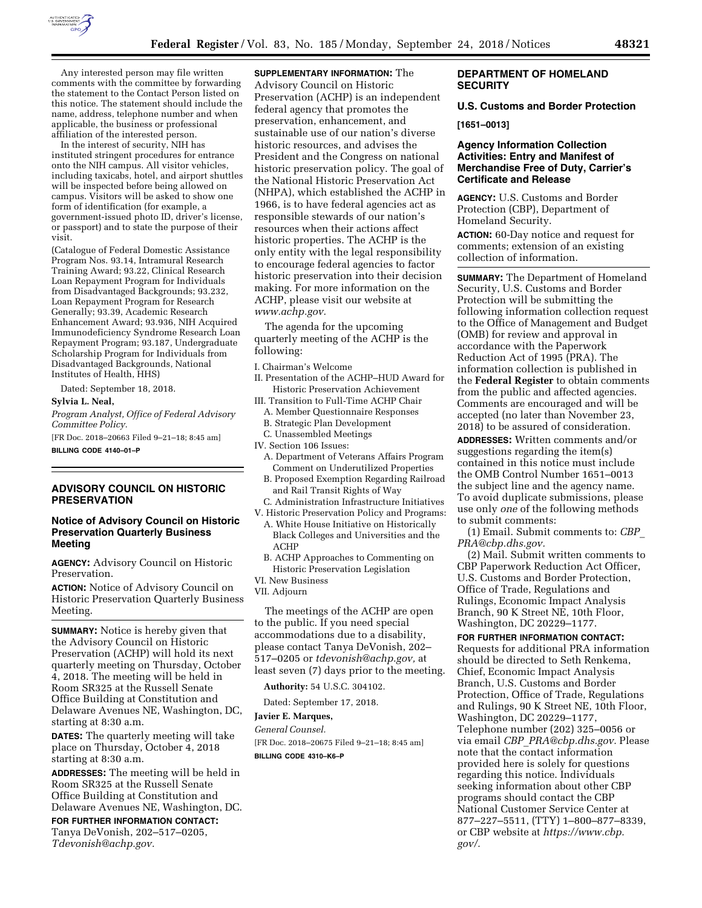

Any interested person may file written comments with the committee by forwarding the statement to the Contact Person listed on this notice. The statement should include the name, address, telephone number and when applicable, the business or professional affiliation of the interested person.

In the interest of security, NIH has instituted stringent procedures for entrance onto the NIH campus. All visitor vehicles, including taxicabs, hotel, and airport shuttles will be inspected before being allowed on campus. Visitors will be asked to show one form of identification (for example, a government-issued photo ID, driver's license, or passport) and to state the purpose of their visit.

(Catalogue of Federal Domestic Assistance Program Nos. 93.14, Intramural Research Training Award; 93.22, Clinical Research Loan Repayment Program for Individuals from Disadvantaged Backgrounds; 93.232, Loan Repayment Program for Research Generally; 93.39, Academic Research Enhancement Award; 93.936, NIH Acquired Immunodeficiency Syndrome Research Loan Repayment Program; 93.187, Undergraduate Scholarship Program for Individuals from Disadvantaged Backgrounds, National Institutes of Health, HHS)

Dated: September 18, 2018.

#### **Sylvia L. Neal,**

*Program Analyst, Office of Federal Advisory Committee Policy.* 

[FR Doc. 2018–20663 Filed 9–21–18; 8:45 am]

**BILLING CODE 4140–01–P** 

## **ADVISORY COUNCIL ON HISTORIC PRESERVATION**

# **Notice of Advisory Council on Historic Preservation Quarterly Business Meeting**

**AGENCY:** Advisory Council on Historic Preservation.

**ACTION:** Notice of Advisory Council on Historic Preservation Quarterly Business Meeting.

**SUMMARY:** Notice is hereby given that the Advisory Council on Historic Preservation (ACHP) will hold its next quarterly meeting on Thursday, October 4, 2018. The meeting will be held in Room SR325 at the Russell Senate Office Building at Constitution and Delaware Avenues NE, Washington, DC, starting at 8:30 a.m.

**DATES:** The quarterly meeting will take place on Thursday, October 4, 2018 starting at 8:30 a.m.

**ADDRESSES:** The meeting will be held in Room SR325 at the Russell Senate Office Building at Constitution and Delaware Avenues NE, Washington, DC.

**FOR FURTHER INFORMATION CONTACT:**  Tanya DeVonish, 202–517–0205, *[Tdevonish@achp.gov.](mailto:Tdevonish@achp.gov)* 

**SUPPLEMENTARY INFORMATION:** The Advisory Council on Historic Preservation (ACHP) is an independent federal agency that promotes the preservation, enhancement, and sustainable use of our nation's diverse historic resources, and advises the President and the Congress on national historic preservation policy. The goal of the National Historic Preservation Act (NHPA), which established the ACHP in 1966, is to have federal agencies act as responsible stewards of our nation's resources when their actions affect historic properties. The ACHP is the only entity with the legal responsibility to encourage federal agencies to factor historic preservation into their decision making. For more information on the ACHP, please visit our website at *[www.achp.gov.](http://www.achp.gov)* 

The agenda for the upcoming quarterly meeting of the ACHP is the following:

- I. Chairman's Welcome
- II. Presentation of the ACHP–HUD Award for Historic Preservation Achievement
- III. Transition to Full-Time ACHP Chair
	- A. Member Questionnaire Responses
- B. Strategic Plan Development
- C. Unassembled Meetings
- IV. Section 106 Issues:
	- A. Department of Veterans Affairs Program Comment on Underutilized Properties
	- B. Proposed Exemption Regarding Railroad and Rail Transit Rights of Way
- C. Administration Infrastructure Initiatives
- V. Historic Preservation Policy and Programs:
	- A. White House Initiative on Historically Black Colleges and Universities and the ACHP
	- B. ACHP Approaches to Commenting on Historic Preservation Legislation
- VI. New Business
- VII. Adjourn

The meetings of the ACHP are open to the public. If you need special accommodations due to a disability, please contact Tanya DeVonish, 202– 517–0205 or *[tdevonish@achp.gov,](mailto:tdevonish@achp.gov)* at least seven (7) days prior to the meeting.

**Authority:** 54 U.S.C. 304102.

Dated: September 17, 2018.

### **Javier E. Marques,**

### *General Counsel.*

[FR Doc. 2018–20675 Filed 9–21–18; 8:45 am] **BILLING CODE 4310–K6–P** 

## **DEPARTMENT OF HOMELAND SECURITY**

## **U.S. Customs and Border Protection**

#### **[1651–0013]**

# **Agency Information Collection Activities: Entry and Manifest of Merchandise Free of Duty, Carrier's Certificate and Release**

**AGENCY:** U.S. Customs and Border Protection (CBP), Department of Homeland Security.

**ACTION:** 60-Day notice and request for comments; extension of an existing collection of information.

**SUMMARY:** The Department of Homeland Security, U.S. Customs and Border Protection will be submitting the following information collection request to the Office of Management and Budget (OMB) for review and approval in accordance with the Paperwork Reduction Act of 1995 (PRA). The information collection is published in the **Federal Register** to obtain comments from the public and affected agencies. Comments are encouraged and will be accepted (no later than November 23, 2018) to be assured of consideration.

**ADDRESSES:** Written comments and/or suggestions regarding the item(s) contained in this notice must include the OMB Control Number 1651–0013 the subject line and the agency name. To avoid duplicate submissions, please use only *one* of the following methods to submit comments:

(1) Email. Submit comments to: *[CBP](mailto:CBP_PRA@cbp.dhs.gov)*\_ *[PRA@cbp.dhs.gov.](mailto:CBP_PRA@cbp.dhs.gov)* 

(2) Mail. Submit written comments to CBP Paperwork Reduction Act Officer, U.S. Customs and Border Protection, Office of Trade, Regulations and Rulings, Economic Impact Analysis Branch, 90 K Street NE, 10th Floor, Washington, DC 20229–1177.

**FOR FURTHER INFORMATION CONTACT:**  Requests for additional PRA information should be directed to Seth Renkema, Chief, Economic Impact Analysis Branch, U.S. Customs and Border Protection, Office of Trade, Regulations and Rulings, 90 K Street NE, 10th Floor, Washington, DC 20229–1177, Telephone number (202) 325–0056 or via email *CBP*\_*[PRA@cbp.dhs.gov.](mailto:CBP_PRA@cbp.dhs.gov)* Please note that the contact information provided here is solely for questions regarding this notice. Individuals seeking information about other CBP programs should contact the CBP National Customer Service Center at 877–227–5511, (TTY) 1–800–877–8339, or CBP website at *[https://www.cbp.](https://www.cbp.gov/)  [gov/.](https://www.cbp.gov/)*